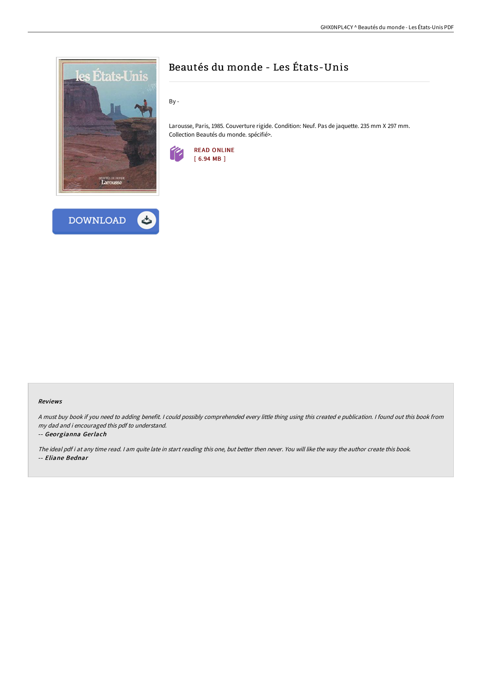



# Beautés du monde - Les États-Unis

By -

Larousse, Paris, 1985. Couverture rigide. Condition: Neuf. Pas de jaquette. 235 mm X 297 mm. Collection Beautés du monde. spécifié>.



### Reviews

<sup>A</sup> must buy book if you need to adding benefit. <sup>I</sup> could possibly comprehended every little thing using this created <sup>e</sup> publication. <sup>I</sup> found out this book from my dad and i encouraged this pdf to understand.

#### -- Georgianna Gerlach

The ideal pdf i at any time read. <sup>I</sup> am quite late in start reading this one, but better then never. You will like the way the author create this book. -- Eliane Bednar